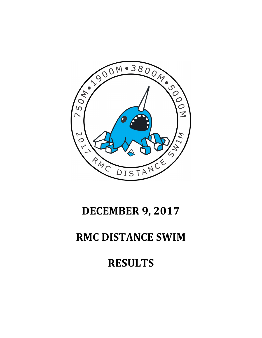## AN 1900 M . 3800 M . 300 M  $\mathcal{L}$ N y  $\circ$  $\frac{1}{2}$ RMC DISTANCE

## **DECEMBER 9, 2017**

## **RMC DISTANCE SWIM**

## **RESULTS**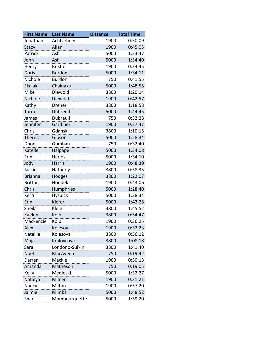| <b>First Name</b> | <b>Last Name</b> | <b>Distance</b> | <b>Total Time</b> |
|-------------------|------------------|-----------------|-------------------|
| Jonathan          | Achtzehner       | 1900            | 0:50:09           |
| Stacy             | Allan            | 1900            | 0:45:03           |
| Patrick           | Ash              | 5000            | 1:33:47           |
| John              | Ash              | 5000            | 1:34:40           |
| Henry             | <b>Bristol</b>   | 1900            | 0:34:45           |
| <b>Doris</b>      | <b>Burdon</b>    | 5000            | 1:34:11           |
| Nichole           | <b>Burdon</b>    | 750             | 0:41:55           |
| Ekalak            | Chainakul        | 5000            | 1:48:55           |
| Mike              | Diewold          | 3800            | 1:20:14           |
| Nichole           | Diewold          | 1900            | 0:42:57           |
| Kathy             | Dreher           | 3800            | 1:18:58           |
| <b>Tarra</b>      | <b>Dubreuil</b>  | 5000            | 1:44:45           |
| James             | Dubreuil         | 750             | 0:32:28           |
| Jennifer          | Gardiner         | 1900            | 0:27:47           |
| Chris             | Gdanski          | 3800            | 1:10:15           |
| Theresa           | Gibson           | 5000            | 1:58:34           |
| Dhon              | Gumban           | 750             | 0:32:40           |
| Katelle           | Halpape          | 5000            | 1:34:08           |
| Erin              | Harlos           | 5000            | 1:34:10           |
| Jody              | <b>Harris</b>    | 1900            | 0:48:39           |
| Jackie            | Hatherly         | 3800            | 0:58:35           |
| <b>Brianna</b>    | Hodges           | 3800            | 1:22:07           |
| <b>Britton</b>    | Houdek           | 1900            | 0:43:06           |
| Chris             | Humphries        | 5000            | 1:28:40           |
| Kerri             | <b>Hysuick</b>   | 5000            | 1:38:34           |
| Erin              | Kiefer           | 5000            | 1:43:28           |
| Sheila            | Klein            | 3800            | 1:45:52           |
| Kaelen            | Kolb             | 3800            | 0:54:47           |
| Mackenzie         | Kolb             | 1900            | 0:36:25           |
| Alex              | Kolesov          | 1900            | 0:32:23           |
| Nataliia          | Kolesova         | 3800            | 0:56:12           |
| Maja              | Kralovcova       | 3800            | 1:08:18           |
| Sara              | Londono-Sulkin   | 3800            | 1:41:40           |
| Noel              | MacAvena         | 750             | 0:19:42           |
| Darren            | Mackie           | 1900            | 0:50:18           |
| Amanda            | Matheson         | 750             | 0:19:05           |
| Kelly             | Medloski         | 5000            | 1:32:27           |
| Natalya           | Milner           | 1900            | 0:31:21           |
| Nancy             | Milton           | 1900            | 0:57:20           |
| Jaimie            | Mimbs            | 5000            | 1:48:52           |
| Shari             | Mombourquette    | 5000            | 1:59:20           |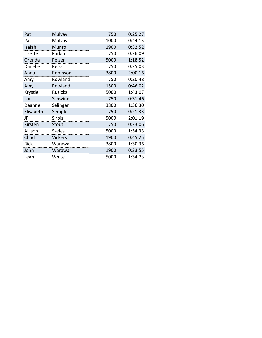| Pat         | Mulvay         | 750  | 0:25:27 |
|-------------|----------------|------|---------|
| Pat         | Mulvay         | 1000 | 0:44:15 |
| Isaiah      | Munro          | 1900 | 0:32:52 |
| Lisette     | Parkin         | 750  | 0:26:09 |
| Orenda      | Pelzer         | 5000 | 1:18:52 |
| Danelle     | Reiss          | 750  | 0:25:03 |
| Anna        | Robinson       | 3800 | 2:00:16 |
| Amy         | Rowland        | 750  | 0:20:48 |
| Amy         | Rowland        | 1500 | 0:46:02 |
| Krystle     | Ruzicka        | 5000 | 1:43:07 |
| Lou         | Schwindt       | 750  | 0:31:46 |
| Deanne      | Selinger       | 3800 | 1:36:30 |
| Elisabeth   | Semple         | 750  | 0:21:33 |
| JF          | <b>Sirois</b>  | 5000 | 2:01:19 |
| Kirsten     | <b>Stout</b>   | 750  | 0:23:06 |
| Allison     | <b>Szeles</b>  | 5000 | 1:34:33 |
| Chad        | <b>Vickers</b> | 1900 | 0:45:25 |
| <b>Rick</b> | Warawa         | 3800 | 1:30:36 |
| John        | Warawa         | 1900 | 0:33:55 |
| Leah        | White          | 5000 | 1:34:23 |
|             |                |      |         |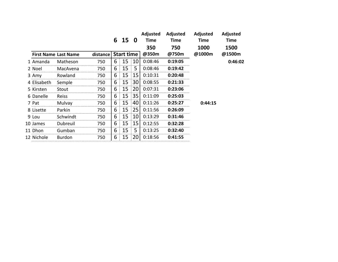|                             |               | 6   | 15 0              |    | Adjusted<br><b>Time</b> | Adjusted<br><b>Time</b> | Adjusted<br><b>Time</b> | Adjusted<br><b>Time</b> |         |
|-----------------------------|---------------|-----|-------------------|----|-------------------------|-------------------------|-------------------------|-------------------------|---------|
| <b>First Name Last Name</b> | distance      |     | <b>Start time</b> |    | 350<br>@350m            | 750<br>@750m            | 1000<br>@1000m          | 1500<br>@1500m          |         |
| 1 Amanda                    | Matheson      | 750 | 6                 | 15 | 10                      | 0:08:46                 | 0:19:05                 |                         | 0:46:02 |
| 2 Noel                      | MacAvena      | 750 | 6                 | 15 | 5                       | 0:08:46                 | 0:19:42                 |                         |         |
| 3 Amy                       | Rowland       | 750 | 6                 | 15 | 15                      | 0:10:31                 | 0:20:48                 |                         |         |
| 4 Elisabeth                 | Semple        | 750 | 6                 | 15 | 30                      | 0:08:55                 | 0:21:33                 |                         |         |
| 5 Kirsten                   | Stout         | 750 | 6                 | 15 | 20                      | 0:07:31                 | 0:23:06                 |                         |         |
| 6 Danelle                   | Reiss         | 750 | 6                 | 15 | 35                      | 0:11:09                 | 0:25:03                 |                         |         |
| 7 Pat                       | <b>Mulvay</b> | 750 | 6                 | 15 | 40                      | 0:11:26                 | 0:25:27                 | 0:44:15                 |         |
| 8 Lisette                   | Parkin        | 750 | 6                 | 15 | 25                      | 0:11:56                 | 0:26:09                 |                         |         |
| 9 Lou                       | Schwindt      | 750 | 6                 | 15 | 10                      | 0:13:29                 | 0:31:46                 |                         |         |
| 10 James                    | Dubreuil      | 750 | 6                 | 15 | 15                      | 0:12:55                 | 0:32:28                 |                         |         |
| 11 Dhon                     | Gumban        | 750 | 6                 | 15 | 5                       | 0:13:25                 | 0:32:40                 |                         |         |
| 12 Nichole                  | Burdon        | 750 | 6                 | 15 | 20                      | 0:18:56                 | 0:41:55                 |                         |         |
|                             |               |     |                   |    |                         |                         |                         |                         |         |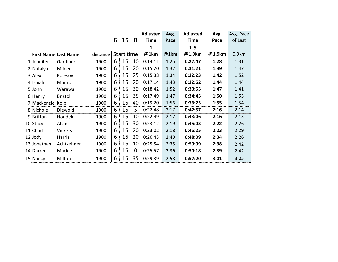|                  |                             |          |   |                   |    | <b>Adjusted</b> | Avg. | Adjusted    | Avg.   | Avg. Pace |
|------------------|-----------------------------|----------|---|-------------------|----|-----------------|------|-------------|--------|-----------|
|                  |                             |          |   | 6 15 0            |    | Time            | Pace | <b>Time</b> | Pace   | of Last   |
|                  |                             |          |   |                   |    | 1               |      | 1.9         |        |           |
|                  | <b>First Name Last Name</b> | distance |   | <b>Start time</b> |    | @1km            | @1km | @1.9km      | @1.9km | 0.9km     |
| 1 Jennifer       | Gardiner                    | 1900     | 6 | 15                | 10 | 0:14:11         | 1:25 | 0:27:47     | 1:28   | 1:31      |
| 2 Natalya        | Milner                      | 1900     | 6 | 15                | 20 | 0:15:20         | 1:32 | 0:31:21     | 1:39   | 1:47      |
| 3 Alex           | Kolesov                     | 1900     | 6 | 15                | 25 | 0:15:38         | 1:34 | 0:32:23     | 1:42   | 1:52      |
| 4 Isaiah         | Munro                       | 1900     | 6 | 15                | 20 | 0:17:14         | 1:43 | 0:32:52     | 1:44   | 1:44      |
| 5 John           | Warawa                      | 1900     | 6 | 15                | 30 | 0:18:42         | 1:52 | 0:33:55     | 1:47   | 1:41      |
| 6 Henry          | <b>Bristol</b>              | 1900     | 6 | 15                | 35 | 0:17:49         | 1:47 | 0:34:45     | 1:50   | 1:53      |
| 7 Mackenzie Kolb |                             | 1900     | 6 | 15                | 40 | 0:19:20         | 1:56 | 0:36:25     | 1:55   | 1:54      |
| 8 Nichole        | Diewold                     | 1900     | 6 | 15                | 5  | 0:22:48         | 2:17 | 0:42:57     | 2:16   | 2:14      |
| 9 Britton        | Houdek                      | 1900     | 6 | 15                | 10 | 0:22:49         | 2:17 | 0:43:06     | 2:16   | 2:15      |
| 10 Stacy         | Allan                       | 1900     | 6 | 15                | 30 | 0:23:12         | 2:19 | 0:45:03     | 2:22   | 2:26      |
| 11 Chad          | <b>Vickers</b>              | 1900     | 6 | 15                | 20 | 0:23:02         | 2:18 | 0:45:25     | 2:23   | 2:29      |
| 12 Jody          | Harris                      | 1900     | 6 | 15                | 20 | 0:26:43         | 2:40 | 0:48:39     | 2:34   | 2:26      |
| 13 Jonathan      | Achtzehner                  | 1900     | 6 | 15                | 10 | 0:25:54         | 2:35 | 0:50:09     | 2:38   | 2:42      |
| 14 Darren        | Mackie                      | 1900     | 6 | 15                | 0  | 0:25:57         | 2:36 | 0:50:18     | 2:39   | 2:42      |
| 15 Nancy         | Milton                      | 1900     | 6 | 15                | 35 | 0:29:39         | 2:58 | 0:57:20     | 3:01   | 3:05      |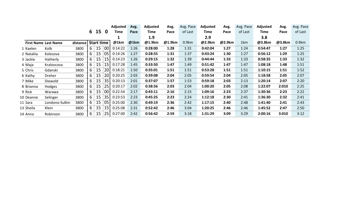|                             |                |          |          |                   |          | Adjusted | Avg.      | Adjusted | Avg.   | Avg. Pace | Adjusted | Avg.   | Avg. Pace | Adjusted | Avg.   | Avg. Pace |
|-----------------------------|----------------|----------|----------|-------------------|----------|----------|-----------|----------|--------|-----------|----------|--------|-----------|----------|--------|-----------|
|                             |                |          |          | 6 15              | $\bf{0}$ | Time     | Pace      | Time     | Pace   | of Last   | Time     | Pace   | of Last   | Time     | Pace   | of Last   |
|                             |                |          |          |                   |          |          |           | 1.9      |        |           | 2.9      |        |           | 3.8      |        |           |
| <b>First Name Last Name</b> |                | distance |          | <b>Start time</b> |          | @1km     | @1km      | @1.9km   | @1.9km | 0.9km     | @2.9km   | @2.9km | 1km       | @3.8km   | @3.8km | 0.9km     |
| 1 Kaelen                    | Kolb           | 3800     | $6 \mid$ | 15                | 00       | 0:14:22  | 1:26      | 0:28:00  | 1:28   | 1:31      | 0:42:04  | 1:27   | 1:24      | 0:54:47  | 1:27   | 1:25      |
| 2 Nataliia                  | Kolesova       | 3800     | 6        | 15                | 05       | 0:14:26  | 1:27      | 0:28:55  | 1:31   | 1:37      | 0:43:24  | 1:30   | 1:27      | 0:56:12  | 1:29   | 1:25      |
| 3 Jackie                    | Hatherly       | 3800     | 6        | 15                | 15       | 0:14:23  | 1:26      | 0:29:15  | 1:32   | 1:39      | 0:44:44  | 1:33   | 1:33      | 0:58:35  | 1:33   | 1:32      |
| 4 Maja                      | Kralovcova     | 3800     | 6        | 15                | 15       | 0:17:28  | 1:45<br>. | 0:33:50  | 1:47   | 1:49      | 0:51:42  | 1:47   | 1:47      | 1:08:18  | 1:48   | 1:51      |
| 5 Chris                     | Gdanski        | 3800     | 6        | 15                | 20       | 0:18:21  | 1:50      | 0:35:01  | 1:51   | 1:51      | 0:53:28  | 1:51   | 1:51      | 1:10:15  | 1:51   | 1:52      |
| 6 Kathy                     | Dreher         | 3800     | 6        | 15                | 20       | 0:20:25  | 2:03      | 0:39:08  | 2:04   | 2:05      | 0:59:54  | 2:04   | 2:05      | 1:18:58  | 2:05   | 2:07      |
| 7 Mike                      | Diewold        | 3800     | 6        | 15                | 35       | 0:20:13  | 2:01      | 0:37:07  | 1:57   | 1:53      | 0:59:18  | 2:03   | 2:13      | 1:20:14  | 2:07   | 2:20      |
| 8 Brianna                   | Hodges         | 3800     | 6        | 15                | 25       | 0:20:17  | 2:02      | 0:38:56  | 2:03   | 2:04      | 1:00:20  | 2:05   | 2:08      | 1:22:07  | 2:010  | 2:25      |
| 9 Rick                      | Warawa         | 3800     | 6        | 15                | 00       | 0:22:54  | 2:17      | 0:43:11  | 2:16   | 2:15      | 1:09:16  | 2:23   | 2:37      | 1:30:36  | 2:23   | 2:22      |
| 10 Deanne                   | Selinger       | 3800     | 6        | 15                | 35       | 0:23:53  | 2:23      | 0:45:25  | 2:23   | 2:24      | 1:12:18  | 2:30   | 2:41      | 1:36:30  | 2:32   | 2:41      |
| 11 Sara                     | Londono-Sulkin | 3800     | 6        | 15                | 05       | 0:25:00  | 2:30      | 0:49:19  | 2:36   | 2:42      | 1:17:15  | 2:40   | 2:48      | 1:41:40  | 2:41   | 2:43      |
| 13 Sheila                   | Klein          | 3800     | 6        | 15                | 15       | 0:25:08  | 2:31      | 0:52:42  | 2:46   | 3:04      | 1:20:25  | 2:46   | 2:46      | 1:45:52  | 2:47   | 2:50      |
| 14 Anna                     | Robinson       | 3800     | 6        | 15                | 25       | 0:27:00  | 2:42      | 0:56:42  | 2:59   | 3:18      | 1:31:29  | 3:09   | 3:29      | 2:00:16  | 3:010  | 3:12      |